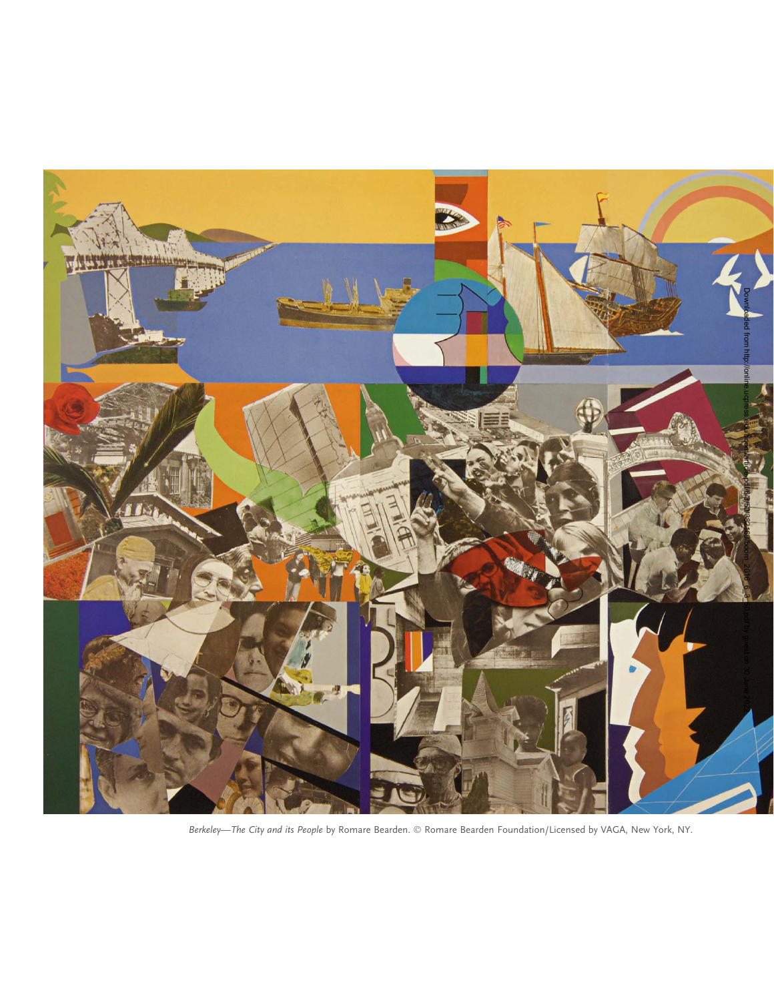

Berkeley—The City and its People by Romare Bearden. © Romare Bearden Foundation/Licensed by VAGA, New York, NY.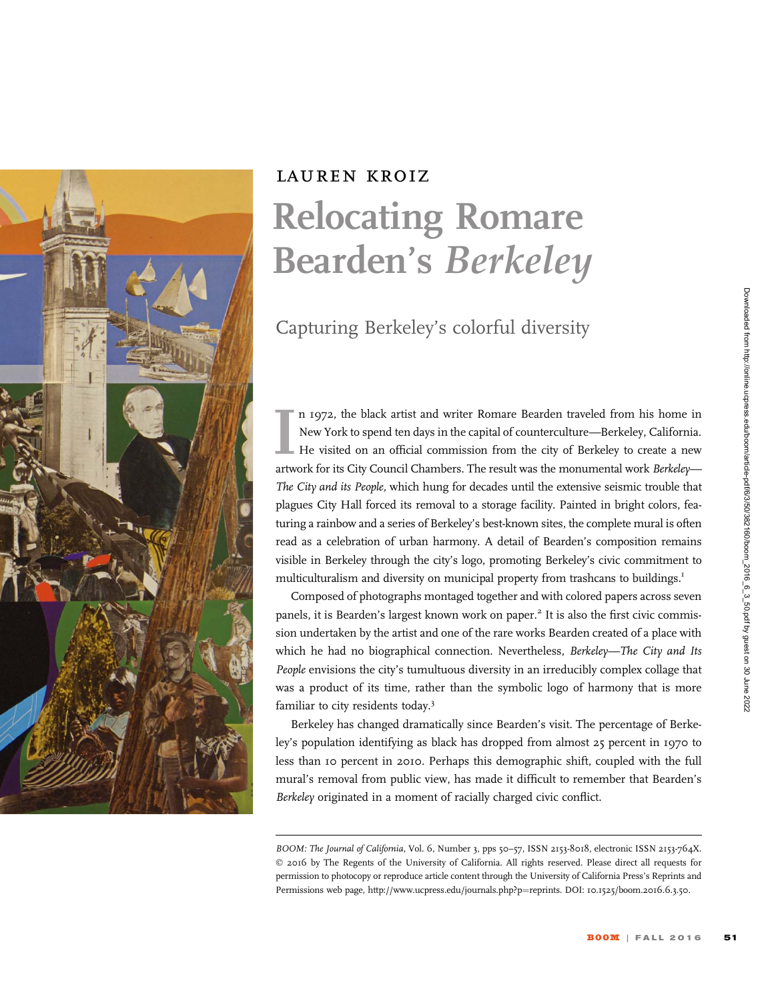

## lauren kroiz Relocating Romare Bearden's Berkeley

Capturing Berkeley's colorful diversity

Im 1972, the black artist and writer Romare Bearden traveled from his home in New York to spend ten days in the capital of counterculture—Berkeley, California.<br>He visited on an official commission from the city of Berkeley n 1972, the black artist and writer Romare Bearden traveled from his home in New York to spend ten days in the capital of counterculture—Berkeley, California. He visited on an official commission from the city of Berkeley to create a new The City and its People, which hung for decades until the extensive seismic trouble that plagues City Hall forced its removal to a storage facility. Painted in bright colors, featuring a rainbow and a series of Berkeley's best-known sites, the complete mural is often read as a celebration of urban harmony. A detail of Bearden's composition remains visible in Berkeley through the city's logo, promoting Berkeley's civic commitment to multiculturalism and diversity on municipal property from trashcans to buildings.<sup>1</sup>

Composed of photographs montaged together and with colored papers across seven panels, it is Bearden's largest known work on paper.<sup>2</sup> It is also the first civic commission undertaken by the artist and one of the rare works Bearden created of a place with which he had no biographical connection. Nevertheless, Berkeley—The City and Its People envisions the city's tumultuous diversity in an irreducibly complex collage that was a product of its time, rather than the symbolic logo of harmony that is more familiar to city residents today.<sup>3</sup>

Berkeley has changed dramatically since Bearden's visit. The percentage of Berkeley's population identifying as black has dropped from almost 25 percent in 1970 to less than 10 percent in 2010. Perhaps this demographic shift, coupled with the full mural's removal from public view, has made it difficult to remember that Bearden's Berkeley originated in a moment of racially charged civic conflict.

BOOM: The Journal of California, Vol. 6, Number 3, pps 50-57, ISSN 2153-8018, electronic ISSN 2153-764X. © 2016 by The Regents of the University of California. All rights reserved. Please direct all requests for permission to photocopy or reproduce article content through the University of California Press's Reprints and Permissions web page, http://www.ucpress.edu/journals.php?p=reprints. DOI: 10.1525/boom.2016.6.3.50.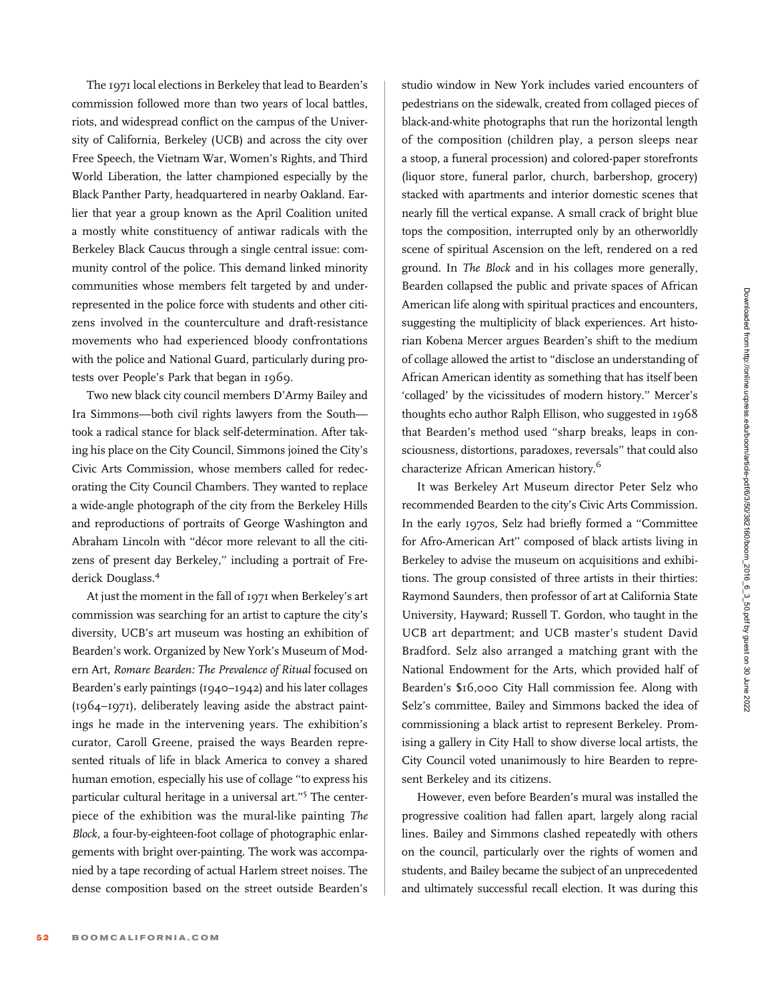The 1971 local elections in Berkeley that lead to Bearden's commission followed more than two years of local battles, riots, and widespread conflict on the campus of the University of California, Berkeley (UCB) and across the city over Free Speech, the Vietnam War, Women's Rights, and Third World Liberation, the latter championed especially by the Black Panther Party, headquartered in nearby Oakland. Earlier that year a group known as the April Coalition united a mostly white constituency of antiwar radicals with the Berkeley Black Caucus through a single central issue: community control of the police. This demand linked minority communities whose members felt targeted by and underrepresented in the police force with students and other citizens involved in the counterculture and draft-resistance movements who had experienced bloody confrontations with the police and National Guard, particularly during protests over People's Park that began in 1969.

Two new black city council members D'Army Bailey and Ira Simmons—both civil rights lawyers from the South took a radical stance for black self-determination. After taking his place on the City Council, Simmons joined the City's Civic Arts Commission, whose members called for redecorating the City Council Chambers. They wanted to replace a wide-angle photograph of the city from the Berkeley Hills and reproductions of portraits of George Washington and Abraham Lincoln with "décor more relevant to all the citizens of present day Berkeley," including a portrait of Frederick Douglass.<sup>4</sup>

At just the moment in the fall of 1971 when Berkeley's art commission was searching for an artist to capture the city's diversity, UCB's art museum was hosting an exhibition of Bearden's work. Organized by New York's Museum of Modern Art, Romare Bearden: The Prevalence of Ritual focused on Bearden's early paintings (1940–1942) and his later collages (1964–1971), deliberately leaving aside the abstract paintings he made in the intervening years. The exhibition's curator, Caroll Greene, praised the ways Bearden represented rituals of life in black America to convey a shared human emotion, especially his use of collage ''to express his particular cultural heritage in a universal art."<sup>5</sup> The centerpiece of the exhibition was the mural-like painting The Block, a four-by-eighteen-foot collage of photographic enlargements with bright over-painting. The work was accompanied by a tape recording of actual Harlem street noises. The dense composition based on the street outside Bearden's

studio window in New York includes varied encounters of pedestrians on the sidewalk, created from collaged pieces of black-and-white photographs that run the horizontal length of the composition (children play, a person sleeps near a stoop, a funeral procession) and colored-paper storefronts (liquor store, funeral parlor, church, barbershop, grocery) stacked with apartments and interior domestic scenes that nearly fill the vertical expanse. A small crack of bright blue tops the composition, interrupted only by an otherworldly scene of spiritual Ascension on the left, rendered on a red ground. In The Block and in his collages more generally, Bearden collapsed the public and private spaces of African American life along with spiritual practices and encounters, suggesting the multiplicity of black experiences. Art historian Kobena Mercer argues Bearden's shift to the medium of collage allowed the artist to ''disclose an understanding of African American identity as something that has itself been 'collaged' by the vicissitudes of modern history.'' Mercer's thoughts echo author Ralph Ellison, who suggested in 1968 that Bearden's method used ''sharp breaks, leaps in consciousness, distortions, paradoxes, reversals'' that could also characterize African American history.<sup>6</sup>

It was Berkeley Art Museum director Peter Selz who recommended Bearden to the city's Civic Arts Commission. In the early 1970s, Selz had briefly formed a ''Committee for Afro-American Art'' composed of black artists living in Berkeley to advise the museum on acquisitions and exhibitions. The group consisted of three artists in their thirties: Raymond Saunders, then professor of art at California State University, Hayward; Russell T. Gordon, who taught in the UCB art department; and UCB master's student David Bradford. Selz also arranged a matching grant with the National Endowment for the Arts, which provided half of Bearden's \$16,000 City Hall commission fee. Along with Selz's committee, Bailey and Simmons backed the idea of commissioning a black artist to represent Berkeley. Promising a gallery in City Hall to show diverse local artists, the City Council voted unanimously to hire Bearden to represent Berkeley and its citizens.

However, even before Bearden's mural was installed the progressive coalition had fallen apart, largely along racial lines. Bailey and Simmons clashed repeatedly with others on the council, particularly over the rights of women and students, and Bailey became the subject of an unprecedented and ultimately successful recall election. It was during this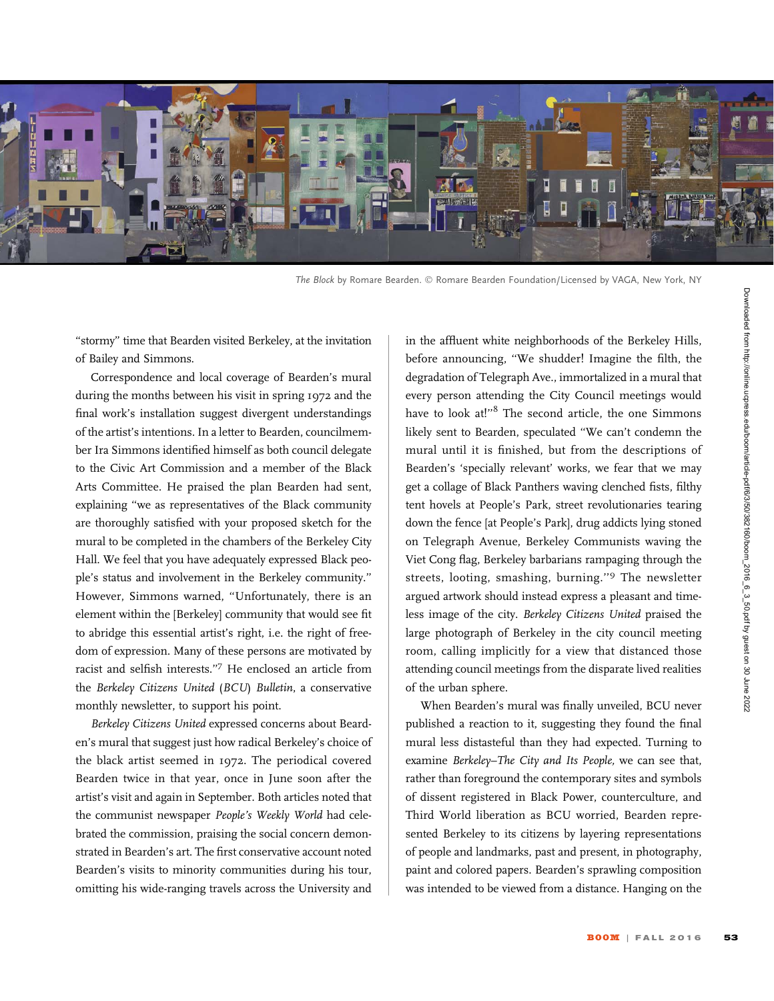

The Block by Romare Bearden. © Romare Bearden Foundation/Licensed by VAGA, New York, NY

''stormy'' time that Bearden visited Berkeley, at the invitation of Bailey and Simmons.

Correspondence and local coverage of Bearden's mural during the months between his visit in spring 1972 and the final work's installation suggest divergent understandings of the artist's intentions. In a letter to Bearden, councilmember Ira Simmons identified himself as both council delegate to the Civic Art Commission and a member of the Black Arts Committee. He praised the plan Bearden had sent, explaining ''we as representatives of the Black community are thoroughly satisfied with your proposed sketch for the mural to be completed in the chambers of the Berkeley City Hall. We feel that you have adequately expressed Black people's status and involvement in the Berkeley community.'' However, Simmons warned, ''Unfortunately, there is an element within the [Berkeley] community that would see fit to abridge this essential artist's right, i.e. the right of freedom of expression. Many of these persons are motivated by racist and selfish interests.''<sup>7</sup> He enclosed an article from the Berkeley Citizens United (BCU) Bulletin, a conservative monthly newsletter, to support his point.

Berkeley Citizens United expressed concerns about Bearden's mural that suggest just how radical Berkeley's choice of the black artist seemed in 1972. The periodical covered Bearden twice in that year, once in June soon after the artist's visit and again in September. Both articles noted that the communist newspaper People's Weekly World had celebrated the commission, praising the social concern demonstrated in Bearden's art. The first conservative account noted Bearden's visits to minority communities during his tour, omitting his wide-ranging travels across the University and

in the affluent white neighborhoods of the Berkeley Hills, before announcing, ''We shudder! Imagine the filth, the degradation of Telegraph Ave., immortalized in a mural that every person attending the City Council meetings would have to look at!"<sup>8</sup> The second article, the one Simmons likely sent to Bearden, speculated ''We can't condemn the mural until it is finished, but from the descriptions of Bearden's 'specially relevant' works, we fear that we may get a collage of Black Panthers waving clenched fists, filthy tent hovels at People's Park, street revolutionaries tearing down the fence [at People's Park], drug addicts lying stoned on Telegraph Avenue, Berkeley Communists waving the Viet Cong flag, Berkeley barbarians rampaging through the streets, looting, smashing, burning.''<sup>9</sup> The newsletter argued artwork should instead express a pleasant and timeless image of the city. Berkeley Citizens United praised the large photograph of Berkeley in the city council meeting room, calling implicitly for a view that distanced those attending council meetings from the disparate lived realities of the urban sphere.

When Bearden's mural was finally unveiled, BCU never published a reaction to it, suggesting they found the final mural less distasteful than they had expected. Turning to examine Berkeley–The City and Its People, we can see that, rather than foreground the contemporary sites and symbols of dissent registered in Black Power, counterculture, and Third World liberation as BCU worried, Bearden represented Berkeley to its citizens by layering representations of people and landmarks, past and present, in photography, paint and colored papers. Bearden's sprawling composition was intended to be viewed from a distance. Hanging on the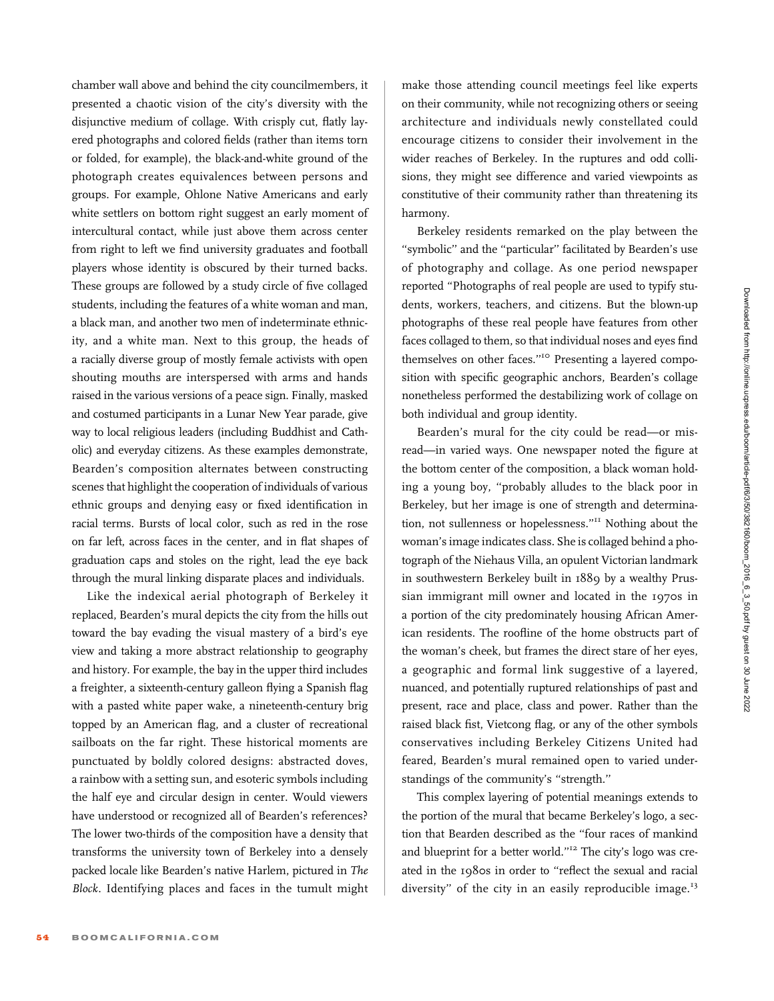chamber wall above and behind the city councilmembers, it presented a chaotic vision of the city's diversity with the disjunctive medium of collage. With crisply cut, flatly layered photographs and colored fields (rather than items torn or folded, for example), the black-and-white ground of the photograph creates equivalences between persons and groups. For example, Ohlone Native Americans and early white settlers on bottom right suggest an early moment of intercultural contact, while just above them across center from right to left we find university graduates and football players whose identity is obscured by their turned backs. These groups are followed by a study circle of five collaged students, including the features of a white woman and man, a black man, and another two men of indeterminate ethnicity, and a white man. Next to this group, the heads of a racially diverse group of mostly female activists with open shouting mouths are interspersed with arms and hands raised in the various versions of a peace sign. Finally, masked and costumed participants in a Lunar New Year parade, give way to local religious leaders (including Buddhist and Catholic) and everyday citizens. As these examples demonstrate, Bearden's composition alternates between constructing scenes that highlight the cooperation of individuals of various ethnic groups and denying easy or fixed identification in racial terms. Bursts of local color, such as red in the rose on far left, across faces in the center, and in flat shapes of graduation caps and stoles on the right, lead the eye back through the mural linking disparate places and individuals.

Like the indexical aerial photograph of Berkeley it replaced, Bearden's mural depicts the city from the hills out toward the bay evading the visual mastery of a bird's eye view and taking a more abstract relationship to geography and history. For example, the bay in the upper third includes a freighter, a sixteenth-century galleon flying a Spanish flag with a pasted white paper wake, a nineteenth-century brig topped by an American flag, and a cluster of recreational sailboats on the far right. These historical moments are punctuated by boldly colored designs: abstracted doves, a rainbow with a setting sun, and esoteric symbols including the half eye and circular design in center. Would viewers have understood or recognized all of Bearden's references? The lower two-thirds of the composition have a density that transforms the university town of Berkeley into a densely packed locale like Bearden's native Harlem, pictured in The Block. Identifying places and faces in the tumult might

make those attending council meetings feel like experts on their community, while not recognizing others or seeing architecture and individuals newly constellated could encourage citizens to consider their involvement in the wider reaches of Berkeley. In the ruptures and odd collisions, they might see difference and varied viewpoints as constitutive of their community rather than threatening its harmony.

Berkeley residents remarked on the play between the "symbolic" and the "particular" facilitated by Bearden's use of photography and collage. As one period newspaper reported ''Photographs of real people are used to typify students, workers, teachers, and citizens. But the blown-up photographs of these real people have features from other faces collaged to them, so that individual noses and eyes find themselves on other faces."<sup>10</sup> Presenting a layered composition with specific geographic anchors, Bearden's collage nonetheless performed the destabilizing work of collage on both individual and group identity.

Bearden's mural for the city could be read—or misread—in varied ways. One newspaper noted the figure at the bottom center of the composition, a black woman holding a young boy, ''probably alludes to the black poor in Berkeley, but her image is one of strength and determination, not sullenness or hopelessness.''<sup>11</sup> Nothing about the woman's image indicates class. She is collaged behind a photograph of the Niehaus Villa, an opulent Victorian landmark in southwestern Berkeley built in 1889 by a wealthy Prussian immigrant mill owner and located in the 1970s in a portion of the city predominately housing African American residents. The roofline of the home obstructs part of the woman's cheek, but frames the direct stare of her eyes, a geographic and formal link suggestive of a layered, nuanced, and potentially ruptured relationships of past and present, race and place, class and power. Rather than the raised black fist, Vietcong flag, or any of the other symbols conservatives including Berkeley Citizens United had feared, Bearden's mural remained open to varied understandings of the community's ''strength.''

This complex layering of potential meanings extends to the portion of the mural that became Berkeley's logo, a section that Bearden described as the ''four races of mankind and blueprint for a better world."<sup>12</sup> The city's logo was created in the 1980s in order to ''reflect the sexual and racial diversity" of the city in an easily reproducible image.<sup>13</sup>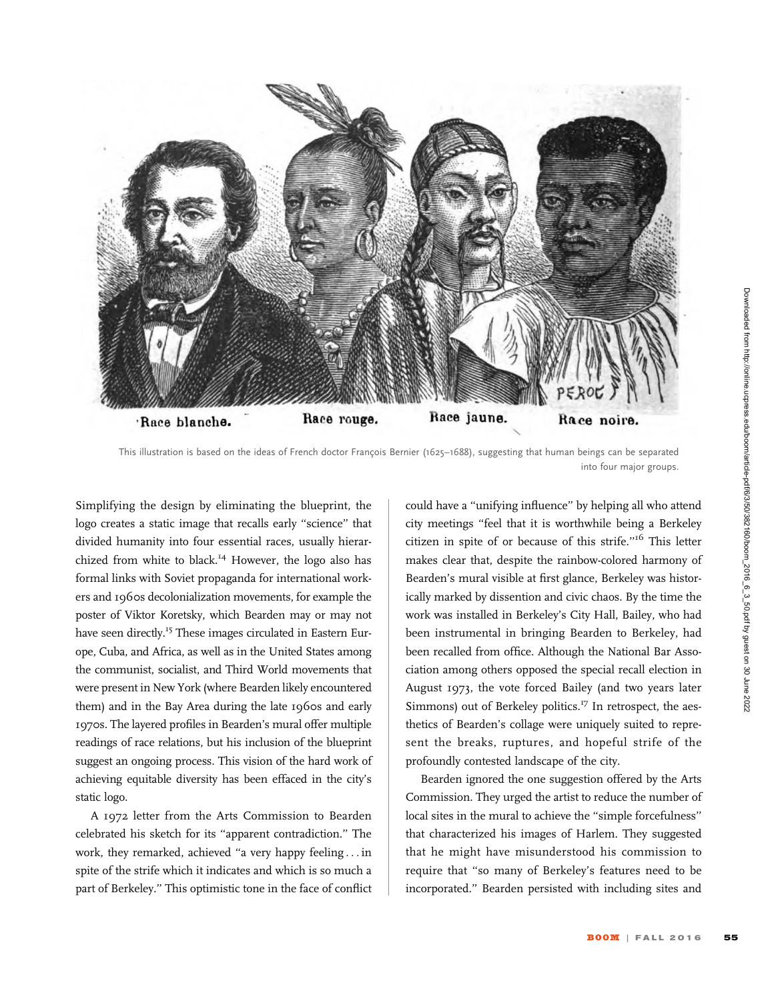

This illustration is based on the ideas of French doctor François Bernier (1625–1688), suggesting that human beings can be separated into four major groups.

Simplifying the design by eliminating the blueprint, the logo creates a static image that recalls early ''science'' that divided humanity into four essential races, usually hierarchized from white to black.<sup>14</sup> However, the logo also has formal links with Soviet propaganda for international workers and 1960s decolonialization movements, for example the poster of Viktor Koretsky, which Bearden may or may not have seen directly.<sup>15</sup> These images circulated in Eastern Europe, Cuba, and Africa, as well as in the United States among the communist, socialist, and Third World movements that were present in New York (where Bearden likely encountered them) and in the Bay Area during the late 1960s and early 1970s. The layered profiles in Bearden's mural offer multiple readings of race relations, but his inclusion of the blueprint suggest an ongoing process. This vision of the hard work of achieving equitable diversity has been effaced in the city's static logo.

A 1972 letter from the Arts Commission to Bearden celebrated his sketch for its ''apparent contradiction.'' The work, they remarked, achieved ''a very happy feeling ... in spite of the strife which it indicates and which is so much a part of Berkeley.'' This optimistic tone in the face of conflict could have a ''unifying influence'' by helping all who attend city meetings ''feel that it is worthwhile being a Berkeley citizen in spite of or because of this strife.''<sup>16</sup> This letter makes clear that, despite the rainbow-colored harmony of Bearden's mural visible at first glance, Berkeley was historically marked by dissention and civic chaos. By the time the work was installed in Berkeley's City Hall, Bailey, who had been instrumental in bringing Bearden to Berkeley, had been recalled from office. Although the National Bar Association among others opposed the special recall election in August 1973, the vote forced Bailey (and two years later Simmons) out of Berkeley politics. $^{17}$  In retrospect, the aesthetics of Bearden's collage were uniquely suited to represent the breaks, ruptures, and hopeful strife of the profoundly contested landscape of the city.

Bearden ignored the one suggestion offered by the Arts Commission. They urged the artist to reduce the number of local sites in the mural to achieve the ''simple forcefulness'' that characterized his images of Harlem. They suggested that he might have misunderstood his commission to require that ''so many of Berkeley's features need to be incorporated.'' Bearden persisted with including sites and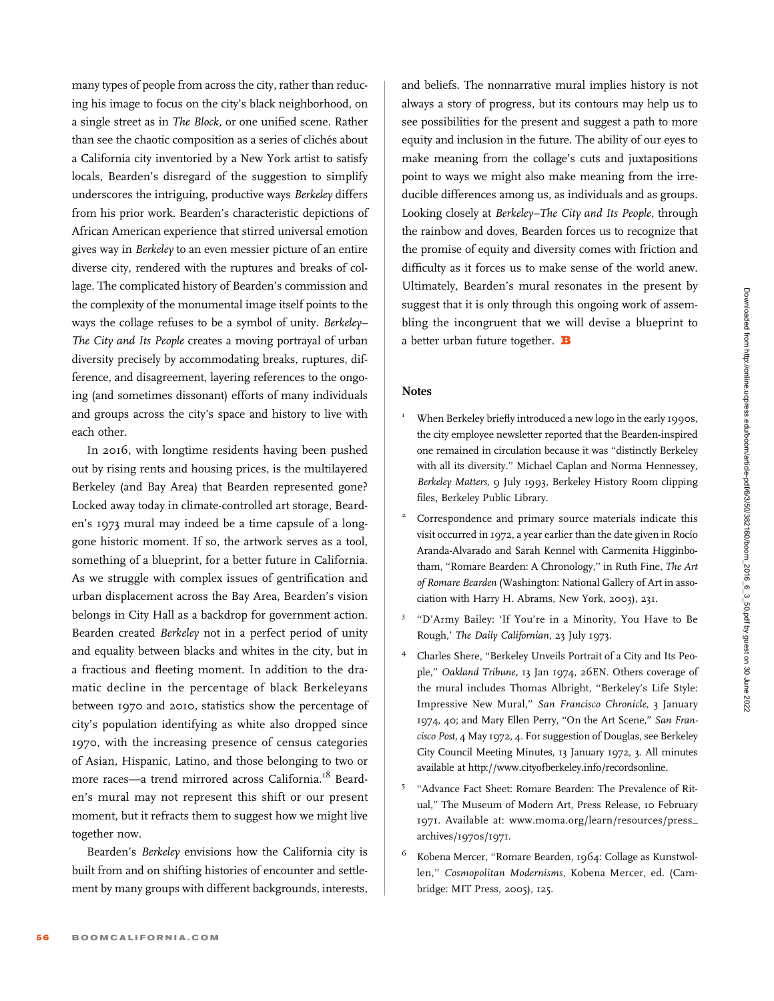many types of people from across the city, rather than reducing his image to focus on the city's black neighborhood, on a single street as in The Block, or one unified scene. Rather than see the chaotic composition as a series of clichés about a California city inventoried by a New York artist to satisfy locals, Bearden's disregard of the suggestion to simplify underscores the intriguing, productive ways Berkeley differs from his prior work. Bearden's characteristic depictions of African American experience that stirred universal emotion gives way in Berkeley to an even messier picture of an entire diverse city, rendered with the ruptures and breaks of collage. The complicated history of Bearden's commission and the complexity of the monumental image itself points to the ways the collage refuses to be a symbol of unity. Berkeley– The City and Its People creates a moving portrayal of urban diversity precisely by accommodating breaks, ruptures, difference, and disagreement, layering references to the ongoing (and sometimes dissonant) efforts of many individuals and groups across the city's space and history to live with each other.

In 2016, with longtime residents having been pushed out by rising rents and housing prices, is the multilayered Berkeley (and Bay Area) that Bearden represented gone? Locked away today in climate-controlled art storage, Bearden's 1973 mural may indeed be a time capsule of a longgone historic moment. If so, the artwork serves as a tool, something of a blueprint, for a better future in California. As we struggle with complex issues of gentrification and urban displacement across the Bay Area, Bearden's vision belongs in City Hall as a backdrop for government action. Bearden created Berkeley not in a perfect period of unity and equality between blacks and whites in the city, but in a fractious and fleeting moment. In addition to the dramatic decline in the percentage of black Berkeleyans between 1970 and 2010, statistics show the percentage of city's population identifying as white also dropped since 1970, with the increasing presence of census categories of Asian, Hispanic, Latino, and those belonging to two or more races-a trend mirrored across California.<sup>18</sup> Bearden's mural may not represent this shift or our present moment, but it refracts them to suggest how we might live together now.

Bearden's Berkeley envisions how the California city is built from and on shifting histories of encounter and settlement by many groups with different backgrounds, interests, and beliefs. The nonnarrative mural implies history is not always a story of progress, but its contours may help us to see possibilities for the present and suggest a path to more equity and inclusion in the future. The ability of our eyes to make meaning from the collage's cuts and juxtapositions point to ways we might also make meaning from the irreducible differences among us, as individuals and as groups. Looking closely at Berkeley–The City and Its People, through the rainbow and doves, Bearden forces us to recognize that the promise of equity and diversity comes with friction and difficulty as it forces us to make sense of the world anew. Ultimately, Bearden's mural resonates in the present by suggest that it is only through this ongoing work of assembling the incongruent that we will devise a blueprint to a better urban future together.  $\mathbf B$ 

## **Notes**

- When Berkeley briefly introduced a new logo in the early 1990s, the city employee newsletter reported that the Bearden-inspired one remained in circulation because it was ''distinctly Berkeley with all its diversity.'' Michael Caplan and Norma Hennessey, Berkeley Matters, 9 July 1993, Berkeley History Room clipping files, Berkeley Public Library.
- <sup>2</sup> Correspondence and primary source materials indicate this visit occurred in 1972, a year earlier than the date given in Rocío Aranda-Alvarado and Sarah Kennel with Carmenita Higginbotham, "Romare Bearden: A Chronology," in Ruth Fine, The Art of Romare Bearden (Washington: National Gallery of Art in association with Harry H. Abrams, New York, 2003), 231.
- <sup>3</sup> ''D'Army Bailey: 'If You're in a Minority, You Have to Be Rough,' The Daily Californian, 23 July 1973.
- <sup>4</sup> Charles Shere, ''Berkeley Unveils Portrait of a City and Its People,'' Oakland Tribune, 13 Jan 1974, 26EN. Others coverage of the mural includes Thomas Albright, ''Berkeley's Life Style: Impressive New Mural,'' San Francisco Chronicle, 3 January 1974, 40; and Mary Ellen Perry, "On the Art Scene," San Francisco Post, 4 May 1972, 4. For suggestion of Douglas, see Berkeley City Council Meeting Minutes, 13 January 1972, 3. All minutes available at [http://www.cityofberkeley.info/recordsonline.](http://www.cityofberkeley.info/recordsonline)
- <sup>5</sup> "Advance Fact Sheet: Romare Bearden: The Prevalence of Ritual,'' The Museum of Modern Art, Press Release, 10 February 1971. Available at: [www.moma.org/learn/resources/press\\_](www.moma.org/learn/resources/press_archives/1970s/1971) [archives/1970s/1971](www.moma.org/learn/resources/press_archives/1970s/1971).
- Kobena Mercer, "Romare Bearden, 1964: Collage as Kunstwollen,'' Cosmopolitan Modernisms, Kobena Mercer, ed. (Cambridge: MIT Press, 2005), 125.